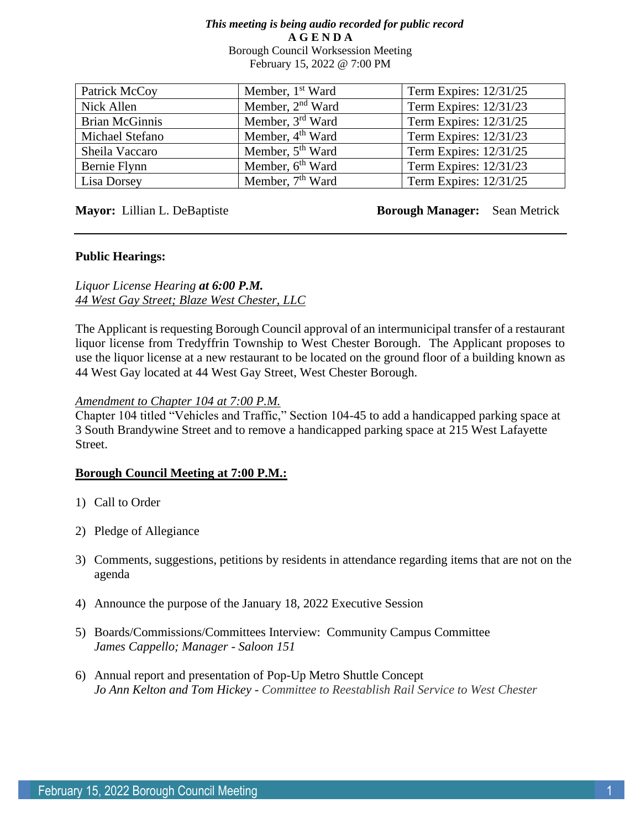#### *This meeting is being audio recorded for public record* **A G E N D A**  Borough Council Worksession Meeting February 15, 2022 @ 7:00 PM

| Patrick McCoy         | Member, 1 <sup>st</sup> Ward | Term Expires: 12/31/25 |
|-----------------------|------------------------------|------------------------|
| Nick Allen            | Member, $2nd$ Ward           | Term Expires: 12/31/23 |
| <b>Brian McGinnis</b> | Member, 3rd Ward             | Term Expires: 12/31/25 |
| Michael Stefano       | Member, 4 <sup>th</sup> Ward | Term Expires: 12/31/23 |
| Sheila Vaccaro        | Member, 5 <sup>th</sup> Ward | Term Expires: 12/31/25 |
| Bernie Flynn          | Member, 6 <sup>th</sup> Ward | Term Expires: 12/31/23 |
| Lisa Dorsey           | Member, 7 <sup>th</sup> Ward | Term Expires: 12/31/25 |

**Mayor:** Lillian L. DeBaptiste **Borough Manager:** Sean Metrick

#### **Public Hearings:**

*Liquor License Hearing at 6:00 P.M. 44 West Gay Street; Blaze West Chester, LLC*

The Applicant is requesting Borough Council approval of an intermunicipal transfer of a restaurant liquor license from Tredyffrin Township to West Chester Borough. The Applicant proposes to use the liquor license at a new restaurant to be located on the ground floor of a building known as 44 West Gay located at 44 West Gay Street, West Chester Borough.

#### *Amendment to Chapter 104 at 7:00 P.M.*

Chapter 104 titled "Vehicles and Traffic," Section 104-45 to add a handicapped parking space at 3 South Brandywine Street and to remove a handicapped parking space at 215 West Lafayette Street.

## **Borough Council Meeting at 7:00 P.M.:**

- 1) Call to Order
- 2) Pledge of Allegiance
- 3) Comments, suggestions, petitions by residents in attendance regarding items that are not on the agenda
- 4) Announce the purpose of the January 18, 2022 Executive Session
- 5) Boards/Commissions/Committees Interview: Community Campus Committee *James Cappello; Manager - Saloon 151*
- 6) Annual report and presentation of Pop-Up Metro Shuttle Concept *Jo Ann Kelton and Tom Hickey - Committee to Reestablish Rail Service to West Chester*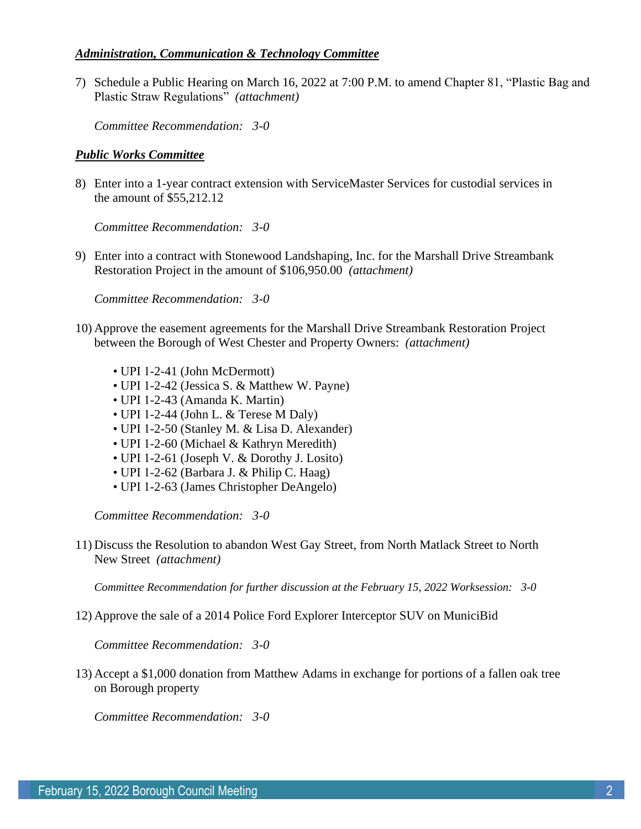# *Administration, Communication & Technology Committee*

7) Schedule a Public Hearing on March 16, 2022 at 7:00 P.M. to amend Chapter 81, "Plastic Bag and Plastic Straw Regulations" *(attachment)*

*Committee Recommendation: 3-0*

### *Public Works Committee*

8) Enter into a 1-year contract extension with ServiceMaster Services for custodial services in the amount of \$55,212.12

*Committee Recommendation: 3-0*

9) Enter into a contract with Stonewood Landshaping, Inc. for the Marshall Drive Streambank Restoration Project in the amount of \$106,950.00 *(attachment)*

*Committee Recommendation: 3-0*

- 10) Approve the easement agreements for the Marshall Drive Streambank Restoration Project between the Borough of West Chester and Property Owners: *(attachment)*
	- UPI 1-2-41 (John McDermott)
	- UPI 1-2-42 (Jessica S. & Matthew W. Payne)
	- UPI 1-2-43 (Amanda K. Martin)
	- UPI 1-2-44 (John L. & Terese M Daly)
	- UPI 1-2-50 (Stanley M. & Lisa D. Alexander)
	- UPI 1-2-60 (Michael & Kathryn Meredith)
	- UPI 1-2-61 (Joseph V. & Dorothy J. Losito)
	- UPI 1-2-62 (Barbara J. & Philip C. Haag)
	- UPI 1-2-63 (James Christopher DeAngelo)

*Committee Recommendation: 3-0*

11) Discuss the Resolution to abandon West Gay Street, from North Matlack Street to North New Street *(attachment)*

*Committee Recommendation for further discussion at the February 15, 2022 Worksession: 3-0*

12) Approve the sale of a 2014 Police Ford Explorer Interceptor SUV on MuniciBid

*Committee Recommendation: 3-0*

13) Accept a \$1,000 donation from Matthew Adams in exchange for portions of a fallen oak tree on Borough property

*Committee Recommendation: 3-0*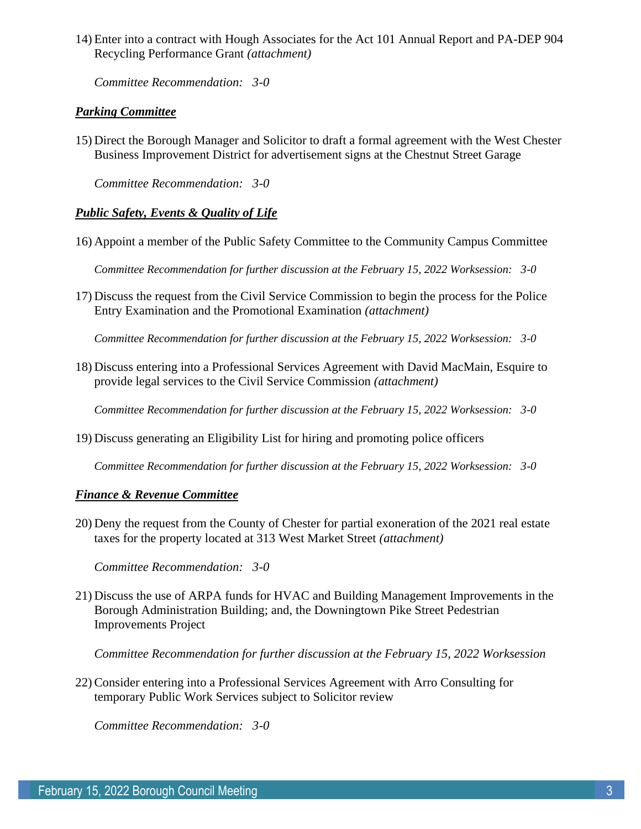14) Enter into a contract with Hough Associates for the Act 101 Annual Report and PA-DEP 904 Recycling Performance Grant *(attachment)*

*Committee Recommendation: 3-0*

# *Parking Committee*

15) Direct the Borough Manager and Solicitor to draft a formal agreement with the West Chester Business Improvement District for advertisement signs at the Chestnut Street Garage

*Committee Recommendation: 3-0*

# *Public Safety, Events & Quality of Life*

16) Appoint a member of the Public Safety Committee to the Community Campus Committee

*Committee Recommendation for further discussion at the February 15, 2022 Worksession: 3-0*

17) Discuss the request from the Civil Service Commission to begin the process for the Police Entry Examination and the Promotional Examination *(attachment)*

*Committee Recommendation for further discussion at the February 15, 2022 Worksession: 3-0*

18) Discuss entering into a Professional Services Agreement with David MacMain, Esquire to provide legal services to the Civil Service Commission *(attachment)*

*Committee Recommendation for further discussion at the February 15, 2022 Worksession: 3-0*

19) Discuss generating an Eligibility List for hiring and promoting police officers

*Committee Recommendation for further discussion at the February 15, 2022 Worksession: 3-0*

## *Finance & Revenue Committee*

20) Deny the request from the County of Chester for partial exoneration of the 2021 real estate taxes for the property located at 313 West Market Street *(attachment)*

*Committee Recommendation: 3-0*

21) Discuss the use of ARPA funds for HVAC and Building Management Improvements in the Borough Administration Building; and, the Downingtown Pike Street Pedestrian Improvements Project

*Committee Recommendation for further discussion at the February 15, 2022 Worksession*

22) Consider entering into a Professional Services Agreement with Arro Consulting for temporary Public Work Services subject to Solicitor review

*Committee Recommendation: 3-0*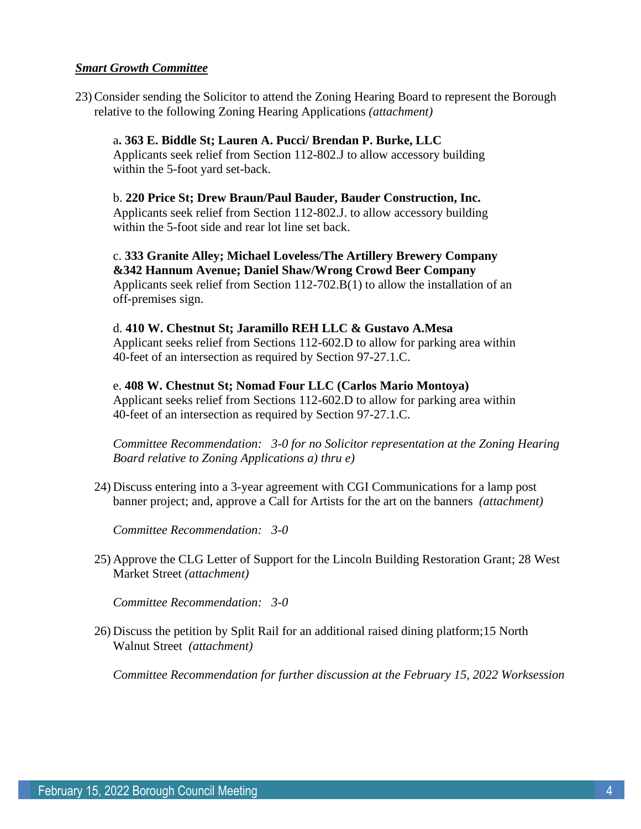### *Smart Growth Committee*

23) Consider sending the Solicitor to attend the Zoning Hearing Board to represent the Borough relative to the following Zoning Hearing Applications *(attachment)*

a**. 363 E. Biddle St; Lauren A. Pucci/ Brendan P. Burke, LLC** Applicants seek relief from Section 112-802.J to allow accessory building within the 5-foot yard set-back.

b. **220 Price St; Drew Braun/Paul Bauder, Bauder Construction, Inc.** Applicants seek relief from Section 112-802.J. to allow accessory building within the 5-foot side and rear lot line set back.

c. **333 Granite Alley; Michael Loveless/The Artillery Brewery Company &342 Hannum Avenue; Daniel Shaw/Wrong Crowd Beer Company** Applicants seek relief from Section 112-702.B(1) to allow the installation of an off-premises sign.

d. **410 W. Chestnut St; Jaramillo REH LLC & Gustavo A.Mesa** Applicant seeks relief from Sections 112-602.D to allow for parking area within 40-feet of an intersection as required by Section 97-27.1.C.

e. **408 W. Chestnut St; Nomad Four LLC (Carlos Mario Montoya)** Applicant seeks relief from Sections 112-602.D to allow for parking area within 40-feet of an intersection as required by Section 97-27.1.C.

*Committee Recommendation: 3-0 for no Solicitor representation at the Zoning Hearing Board relative to Zoning Applications a) thru e)*

24) Discuss entering into a 3-year agreement with CGI Communications for a lamp post banner project; and, approve a Call for Artists for the art on the banners *(attachment)*

*Committee Recommendation: 3-0*

25) Approve the CLG Letter of Support for the Lincoln Building Restoration Grant; 28 West Market Street *(attachment)*

*Committee Recommendation: 3-0*

26) Discuss the petition by Split Rail for an additional raised dining platform;15 North Walnut Street *(attachment)*

*Committee Recommendation for further discussion at the February 15, 2022 Worksession*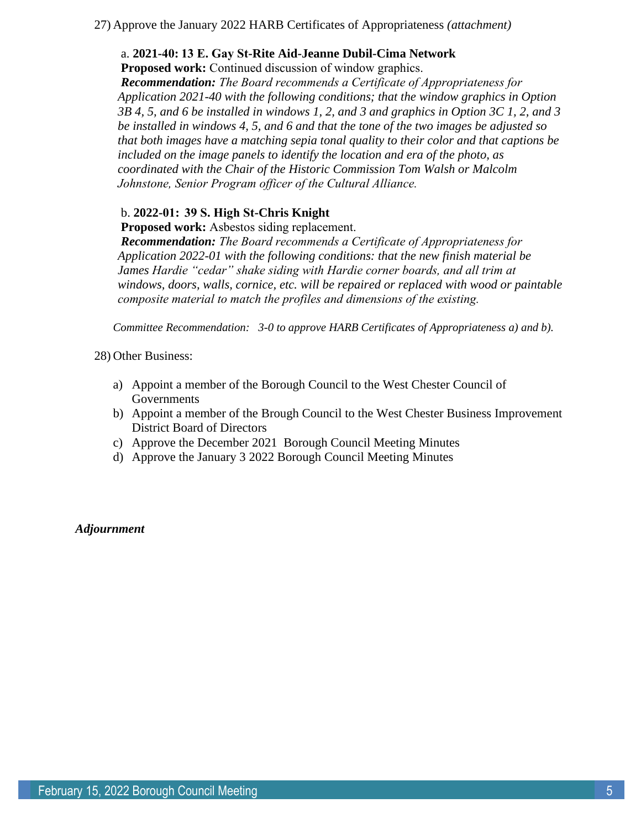27) Approve the January 2022 HARB Certificates of Appropriateness *(attachment)*

# a. **2021-40: 13 E. Gay St-Rite Aid-Jeanne Dubil-Cima Network**

**Proposed work:** Continued discussion of window graphics. 

*Recommendation: The Board recommends a Certificate of Appropriateness for  Application 2021-40 with the following conditions; that the window graphics in Option 3B 4, 5, and 6 be installed in windows 1, 2, and 3 and graphics in Option 3C 1, 2, and 3 be installed in windows 4, 5, and 6 and that the tone of the two images be adjusted so that both images have a matching sepia tonal quality to their color and that captions be included on the image panels to identify the location and era of the photo, as coordinated with the Chair of the Historic Commission Tom Walsh or Malcolm Johnstone, Senior Program officer of the Cultural Alliance.*

# b. **2022-01:  39 S. High St-Chris Knight**

**Proposed work:** Asbestos siding replacement.  

*Recommendation: The Board recommends a Certificate of Appropriateness for  Application 2022-01 with the following conditions: that the new finish material be*  James Hardie "cedar" shake siding with Hardie corner boards, and all trim at *windows, doors, walls, cornice, etc. will be repaired or replaced with wood or paintable composite material to match the profiles and dimensions of the existing.*

*Committee Recommendation: 3-0 to approve HARB Certificates of Appropriateness a) and b).*

28) Other Business:

- a) Appoint a member of the Borough Council to the West Chester Council of Governments
- b) Appoint a member of the Brough Council to the West Chester Business Improvement District Board of Directors
- c) Approve the December 2021 Borough Council Meeting Minutes
- d) Approve the January 3 2022 Borough Council Meeting Minutes

*Adjournment*